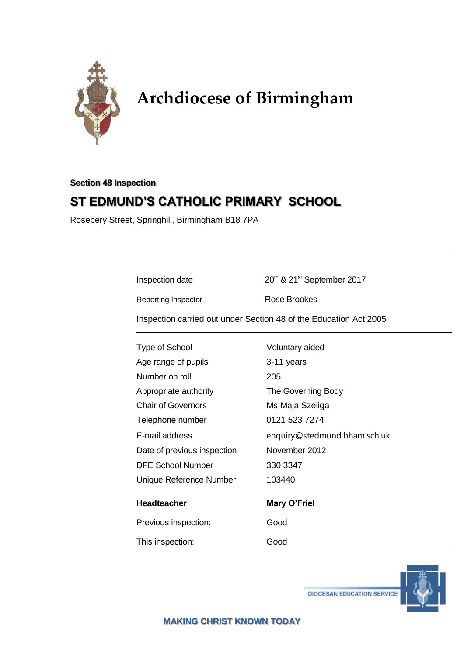

# **Archdiocese of Birmingham**

# **Section 48 Inspection**

# **ST EDMUND'S CATHOLIC PRIMARY SCHOOL**

Rosebery Street, Springhill, Birmingham B18 7PA

Inspection date 20<sup>th</sup> & 21<sup>st</sup> September 2017

Reporting Inspector **Rose Brookes** 

Inspection carried out under Section 48 of the Education Act 2005

| <b>Type of School</b>       | Voluntary aided              |
|-----------------------------|------------------------------|
| Age range of pupils         | 3-11 years                   |
| Number on roll              | 205                          |
| Appropriate authority       | The Governing Body           |
| <b>Chair of Governors</b>   | Ms Maja Szeliga              |
| Telephone number            | 0121 523 7274                |
| E-mail address              | enquiry@stedmund.bham.sch.uk |
| Date of previous inspection | November 2012                |
| <b>DFE School Number</b>    | 330 3347                     |
| Unique Reference Number     | 103440                       |
| <b>Headteacher</b>          | <b>Mary O'Friel</b>          |
| Previous inspection:        | Good                         |
| This inspection:            | Good                         |



**DIOCESAN EDUCATION SERVICE**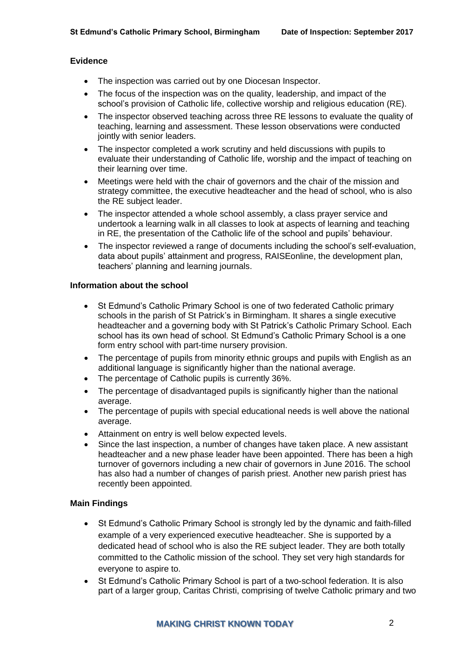#### **Evidence**

- The inspection was carried out by one Diocesan Inspector.
- The focus of the inspection was on the quality, leadership, and impact of the school's provision of Catholic life, collective worship and religious education (RE).
- The inspector observed teaching across three RE lessons to evaluate the quality of teaching, learning and assessment. These lesson observations were conducted jointly with senior leaders.
- The inspector completed a work scrutiny and held discussions with pupils to evaluate their understanding of Catholic life, worship and the impact of teaching on their learning over time.
- Meetings were held with the chair of governors and the chair of the mission and strategy committee, the executive headteacher and the head of school, who is also the RE subject leader.
- The inspector attended a whole school assembly, a class prayer service and undertook a learning walk in all classes to look at aspects of learning and teaching in RE, the presentation of the Catholic life of the school and pupils' behaviour.
- The inspector reviewed a range of documents including the school's self-evaluation, data about pupils' attainment and progress, RAISEonline, the development plan, teachers' planning and learning journals.

#### **Information about the school**

- St Edmund's Catholic Primary School is one of two federated Catholic primary schools in the parish of St Patrick's in Birmingham. It shares a single executive headteacher and a governing body with St Patrick's Catholic Primary School. Each school has its own head of school. St Edmund's Catholic Primary School is a one form entry school with part-time nursery provision.
- The percentage of pupils from minority ethnic groups and pupils with English as an additional language is significantly higher than the national average.
- The percentage of Catholic pupils is currently 36%.
- The percentage of disadvantaged pupils is significantly higher than the national average.
- The percentage of pupils with special educational needs is well above the national average.
- Attainment on entry is well below expected levels.
- Since the last inspection, a number of changes have taken place. A new assistant headteacher and a new phase leader have been appointed. There has been a high turnover of governors including a new chair of governors in June 2016. The school has also had a number of changes of parish priest. Another new parish priest has recently been appointed.

#### **Main Findings**

- St Edmund's Catholic Primary School is strongly led by the dynamic and faith-filled example of a very experienced executive headteacher. She is supported by a dedicated head of school who is also the RE subject leader. They are both totally committed to the Catholic mission of the school. They set very high standards for everyone to aspire to.
- St Edmund's Catholic Primary School is part of a two-school federation. It is also part of a larger group, Caritas Christi, comprising of twelve Catholic primary and two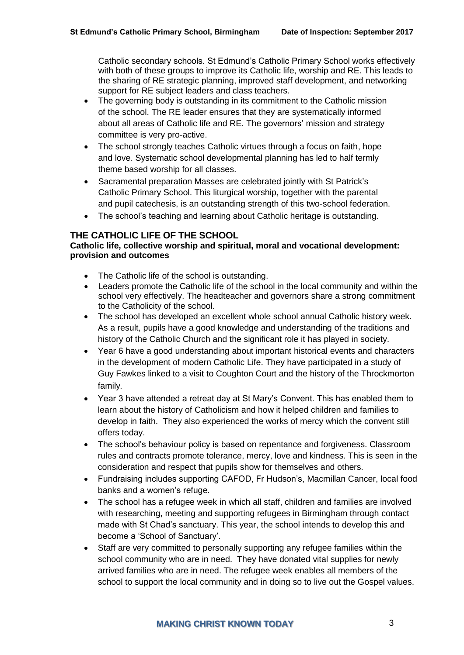Catholic secondary schools. St Edmund's Catholic Primary School works effectively with both of these groups to improve its Catholic life, worship and RE. This leads to the sharing of RE strategic planning, improved staff development, and networking support for RE subject leaders and class teachers.

- The governing body is outstanding in its commitment to the Catholic mission of the school. The RE leader ensures that they are systematically informed about all areas of Catholic life and RE. The governors' mission and strategy committee is very pro-active.
- The school strongly teaches Catholic virtues through a focus on faith, hope and love. Systematic school developmental planning has led to half termly theme based worship for all classes.
- Sacramental preparation Masses are celebrated jointly with St Patrick's Catholic Primary School. This liturgical worship, together with the parental and pupil catechesis, is an outstanding strength of this two-school federation.
- The school's teaching and learning about Catholic heritage is outstanding.

# **THE CATHOLIC LIFE OF THE SCHOOL**

#### **Catholic life, collective worship and spiritual, moral and vocational development: provision and outcomes**

- The Catholic life of the school is outstanding.
- Leaders promote the Catholic life of the school in the local community and within the school very effectively. The headteacher and governors share a strong commitment to the Catholicity of the school.
- The school has developed an excellent whole school annual Catholic history week. As a result, pupils have a good knowledge and understanding of the traditions and history of the Catholic Church and the significant role it has played in society.
- Year 6 have a good understanding about important historical events and characters in the development of modern Catholic Life. They have participated in a study of Guy Fawkes linked to a visit to Coughton Court and the history of the Throckmorton family.
- Year 3 have attended a retreat day at St Mary's Convent. This has enabled them to learn about the history of Catholicism and how it helped children and families to develop in faith. They also experienced the works of mercy which the convent still offers today.
- The school's behaviour policy is based on repentance and forgiveness. Classroom rules and contracts promote tolerance, mercy, love and kindness. This is seen in the consideration and respect that pupils show for themselves and others.
- Fundraising includes supporting CAFOD, Fr Hudson's, Macmillan Cancer, local food banks and a women's refuge.
- The school has a refugee week in which all staff, children and families are involved with researching, meeting and supporting refugees in Birmingham through contact made with St Chad's sanctuary. This year, the school intends to develop this and become a 'School of Sanctuary'.
- Staff are very committed to personally supporting any refugee families within the school community who are in need. They have donated vital supplies for newly arrived families who are in need. The refugee week enables all members of the school to support the local community and in doing so to live out the Gospel values.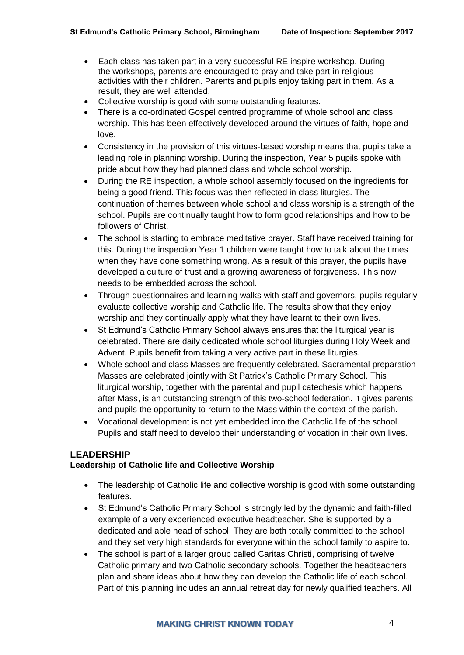- Each class has taken part in a very successful RE inspire workshop. During the workshops, parents are encouraged to pray and take part in religious activities with their children. Parents and pupils enjoy taking part in them. As a result, they are well attended.
- Collective worship is good with some outstanding features.
- There is a co-ordinated Gospel centred programme of whole school and class worship. This has been effectively developed around the virtues of faith, hope and love.
- Consistency in the provision of this virtues-based worship means that pupils take a leading role in planning worship. During the inspection, Year 5 pupils spoke with pride about how they had planned class and whole school worship.
- During the RE inspection, a whole school assembly focused on the ingredients for being a good friend. This focus was then reflected in class liturgies. The continuation of themes between whole school and class worship is a strength of the school. Pupils are continually taught how to form good relationships and how to be followers of Christ.
- The school is starting to embrace meditative prayer. Staff have received training for this. During the inspection Year 1 children were taught how to talk about the times when they have done something wrong. As a result of this prayer, the pupils have developed a culture of trust and a growing awareness of forgiveness. This now needs to be embedded across the school.
- Through questionnaires and learning walks with staff and governors, pupils regularly evaluate collective worship and Catholic life. The results show that they enjoy worship and they continually apply what they have learnt to their own lives.
- St Edmund's Catholic Primary School always ensures that the liturgical year is celebrated. There are daily dedicated whole school liturgies during Holy Week and Advent. Pupils benefit from taking a very active part in these liturgies.
- Whole school and class Masses are frequently celebrated. Sacramental preparation Masses are celebrated jointly with St Patrick's Catholic Primary School. This liturgical worship, together with the parental and pupil catechesis which happens after Mass, is an outstanding strength of this two-school federation. It gives parents and pupils the opportunity to return to the Mass within the context of the parish.
- Vocational development is not yet embedded into the Catholic life of the school. Pupils and staff need to develop their understanding of vocation in their own lives.

### **LEADERSHIP**

#### **Leadership of Catholic life and Collective Worship**

- The leadership of Catholic life and collective worship is good with some outstanding features.
- St Edmund's Catholic Primary School is strongly led by the dynamic and faith-filled example of a very experienced executive headteacher. She is supported by a dedicated and able head of school. They are both totally committed to the school and they set very high standards for everyone within the school family to aspire to.
- The school is part of a larger group called Caritas Christi, comprising of twelve Catholic primary and two Catholic secondary schools. Together the headteachers plan and share ideas about how they can develop the Catholic life of each school. Part of this planning includes an annual retreat day for newly qualified teachers. All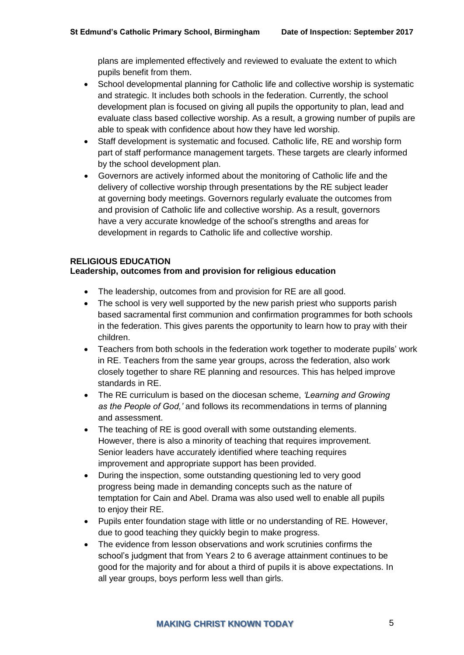plans are implemented effectively and reviewed to evaluate the extent to which pupils benefit from them.

- School developmental planning for Catholic life and collective worship is systematic and strategic. It includes both schools in the federation. Currently, the school development plan is focused on giving all pupils the opportunity to plan, lead and evaluate class based collective worship. As a result, a growing number of pupils are able to speak with confidence about how they have led worship.
- Staff development is systematic and focused. Catholic life, RE and worship form part of staff performance management targets. These targets are clearly informed by the school development plan.
- Governors are actively informed about the monitoring of Catholic life and the delivery of collective worship through presentations by the RE subject leader at governing body meetings. Governors regularly evaluate the outcomes from and provision of Catholic life and collective worship. As a result, governors have a very accurate knowledge of the school's strengths and areas for development in regards to Catholic life and collective worship.

#### **RELIGIOUS EDUCATION Leadership, outcomes from and provision for religious education**

- The leadership, outcomes from and provision for RE are all good.
- The school is very well supported by the new parish priest who supports parish based sacramental first communion and confirmation programmes for both schools in the federation. This gives parents the opportunity to learn how to pray with their children.
- Teachers from both schools in the federation work together to moderate pupils' work in RE. Teachers from the same year groups, across the federation, also work closely together to share RE planning and resources. This has helped improve standards in RE.
- The RE curriculum is based on the diocesan scheme, *'Learning and Growing as the People of God,'* and follows its recommendations in terms of planning and assessment.
- The teaching of RE is good overall with some outstanding elements. However, there is also a minority of teaching that requires improvement. Senior leaders have accurately identified where teaching requires improvement and appropriate support has been provided.
- During the inspection, some outstanding questioning led to very good progress being made in demanding concepts such as the nature of temptation for Cain and Abel. Drama was also used well to enable all pupils to enjoy their RE.
- Pupils enter foundation stage with little or no understanding of RE. However, due to good teaching they quickly begin to make progress.
- The evidence from lesson observations and work scrutinies confirms the school's judgment that from Years 2 to 6 average attainment continues to be good for the majority and for about a third of pupils it is above expectations. In all year groups, boys perform less well than girls.